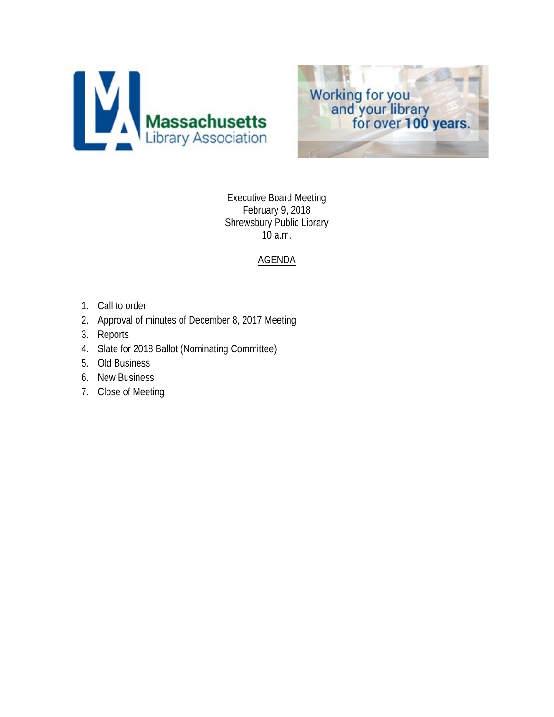



Executive Board Meeting February 9, 2018 Shrewsbury Public Library 10 a.m.

# AGENDA

- 1. Call to order
- 2. Approval of minutes of December 8, 2017 Meeting
- 3. Reports
- 4. Slate for 2018 Ballot (Nominating Committee)
- 5. Old Business
- 6. New Business
- 7. Close of Meeting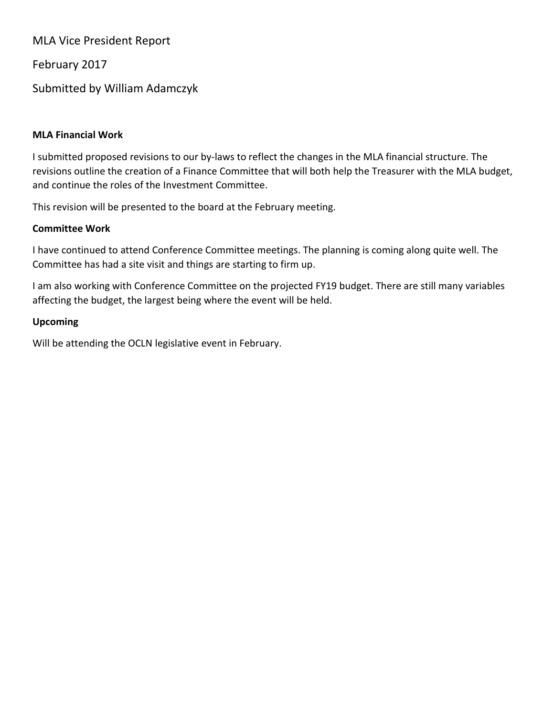MLA Vice President Report

February 2017

Submitted by William Adamczyk

### **MLA Financial Work**

I submitted proposed revisions to our by-laws to reflect the changes in the MLA financial structure. The revisions outline the creation of a Finance Committee that will both help the Treasurer with the MLA budget, and continue the roles of the Investment Committee.

This revision will be presented to the board at the February meeting.

### **Committee Work**

I have continued to attend Conference Committee meetings. The planning is coming along quite well. The Committee has had a site visit and things are starting to firm up.

I am also working with Conference Committee on the projected FY19 budget. There are still many variables affecting the budget, the largest being where the event will be held.

## **Upcoming**

Will be attending the OCLN legislative event in February.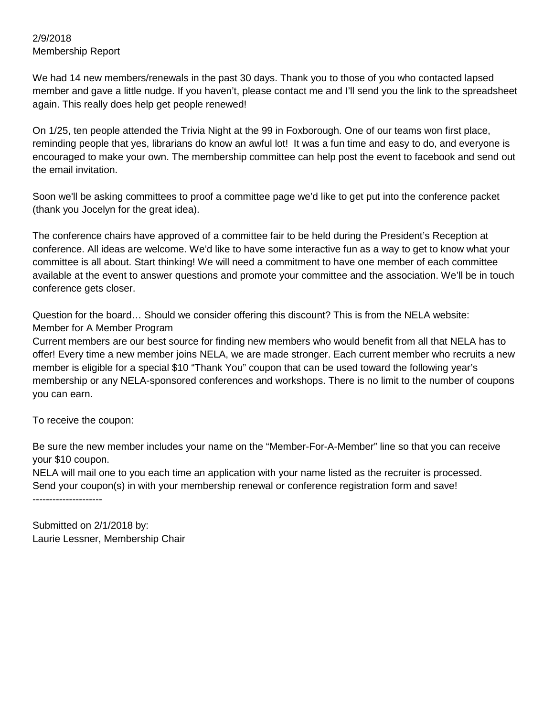#### 2/9/2018 Membership Report

We had 14 new members/renewals in the past 30 days. Thank you to those of you who contacted lapsed member and gave a little nudge. If you haven't, please contact me and I'll send you the link to the spreadsheet again. This really does help get people renewed!

On 1/25, ten people attended the Trivia Night at the 99 in Foxborough. One of our teams won first place, reminding people that yes, librarians do know an awful lot! It was a fun time and easy to do, and everyone is encouraged to make your own. The membership committee can help post the event to facebook and send out the email invitation.

Soon we'll be asking committees to proof a committee page we'd like to get put into the conference packet (thank you Jocelyn for the great idea).

The conference chairs have approved of a committee fair to be held during the President's Reception at conference. All ideas are welcome. We'd like to have some interactive fun as a way to get to know what your committee is all about. Start thinking! We will need a commitment to have one member of each committee available at the event to answer questions and promote your committee and the association. We'll be in touch conference gets closer.

Question for the board… Should we consider offering this discount? This is from the NELA website: Member for A Member Program

Current members are our best source for finding new members who would benefit from all that NELA has to offer! Every time a new member joins NELA, we are made stronger. Each current member who recruits a new member is eligible for a special \$10 "Thank You" coupon that can be used toward the following year's membership or any NELA-sponsored conferences and workshops. There is no limit to the number of coupons you can earn.

To receive the coupon:

Be sure the new member includes your name on the "Member-For-A-Member" line so that you can receive your \$10 coupon.

NELA will mail one to you each time an application with your name listed as the recruiter is processed. Send your coupon(s) in with your membership renewal or conference registration form and save! ---------------------

Submitted on 2/1/2018 by: Laurie Lessner, Membership Chair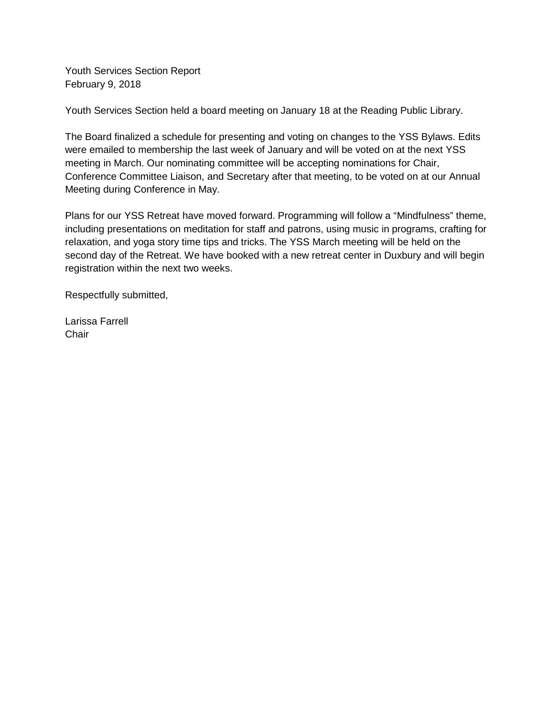Youth Services Section Report February 9, 2018

Youth Services Section held a board meeting on January 18 at the Reading Public Library.

The Board finalized a schedule for presenting and voting on changes to the YSS Bylaws. Edits were emailed to membership the last week of January and will be voted on at the next YSS meeting in March. Our nominating committee will be accepting nominations for Chair, Conference Committee Liaison, and Secretary after that meeting, to be voted on at our Annual Meeting during Conference in May.

Plans for our YSS Retreat have moved forward. Programming will follow a "Mindfulness" theme, including presentations on meditation for staff and patrons, using music in programs, crafting for relaxation, and yoga story time tips and tricks. The YSS March meeting will be held on the second day of the Retreat. We have booked with a new retreat center in Duxbury and will begin registration within the next two weeks.

Respectfully submitted,

Larissa Farrell **Chair**